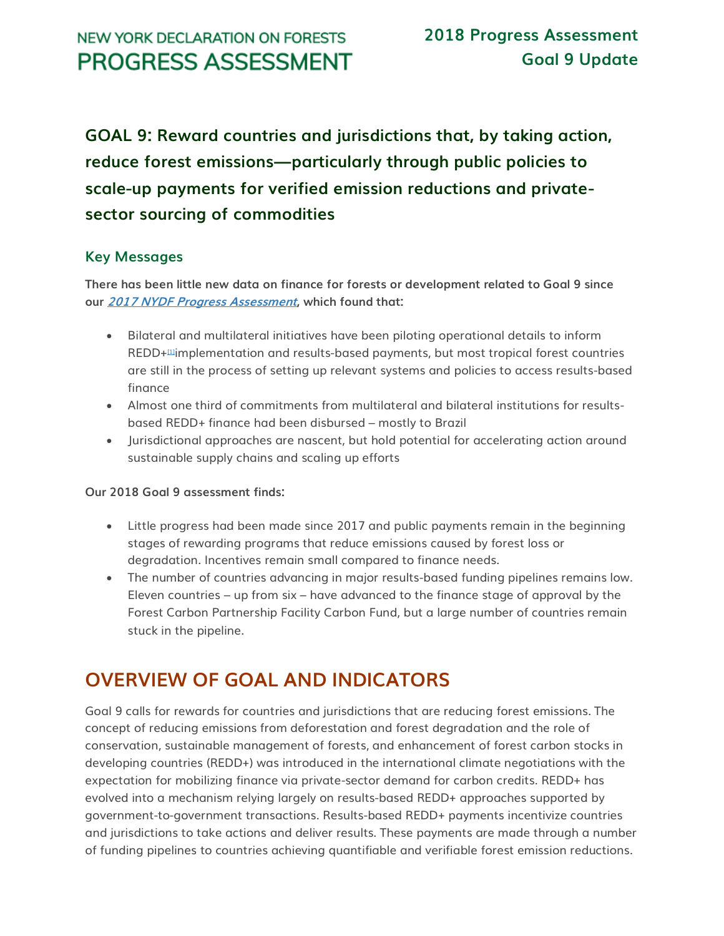# **NEW YORK DECLARATION ON FORESTS PROGRESS ASSESSMENT**

**GOAL 9: Reward countries and jurisdictions that, by taking action, reduce forest emissions—particularly through public policies to scale-up payments for verified emission reductions and privatesector sourcing of commodities**

## **Key Messages**

**There has been little new data on finance for forests or development related to Goal 9 since our [2017 NYDF Progress Assessment](http://forestdeclaration.org/wp-content/uploads/2017/10/2017-NYDF-Goals-8-and-9-Assessment-Report.pdf), which found that:**

- Bilateral and multilateral initiatives have been piloting operational details to inform REDD+<sup>m</sup>implementation and results-based payments, but most tropical forest countries are still in the process of setting up relevant systems and policies to access results-based finance
- Almost one third of commitments from multilateral and bilateral institutions for resultsbased REDD+ finance had been disbursed – mostly to Brazil
- Jurisdictional approaches are nascent, but hold potential for accelerating action around sustainable supply chains and scaling up efforts

## **Our 2018 Goal 9 assessment finds:**

- Little progress had been made since 2017 and public payments remain in the beginning stages of rewarding programs that reduce emissions caused by forest loss or degradation. Incentives remain small compared to finance needs.
- The number of countries advancing in major results-based funding pipelines remains low. Eleven countries – up from six – have advanced to the finance stage of approval by the Forest Carbon Partnership Facility Carbon Fund, but a large number of countries remain stuck in the pipeline.

# **OVERVIEW OF GOAL AND INDICATORS**

Goal 9 calls for rewards for countries and jurisdictions that are reducing forest emissions. The concept of reducing emissions from deforestation and forest degradation and the role of conservation, sustainable management of forests, and enhancement of forest carbon stocks in developing countries (REDD+) was introduced in the international climate negotiations with the expectation for mobilizing finance via private-sector demand for carbon credits. REDD+ has evolved into a mechanism relying largely on results-based REDD+ approaches supported by government-to-government transactions. Results-based REDD+ payments incentivize countries and jurisdictions to take actions and deliver results. These payments are made through a number of funding pipelines to countries achieving quantifiable and verifiable forest emission reductions.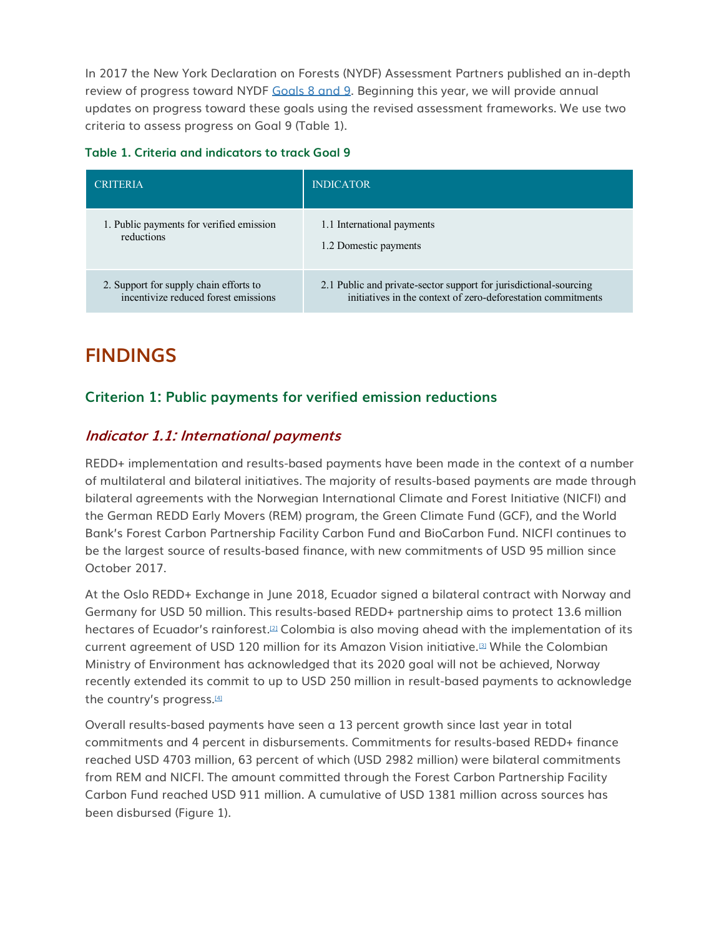In 2017 the New York Declaration on Forests (NYDF) Assessment Partners published an in-depth review of progress toward NYDF [Goals 8 and 9.](http://forestdeclaration.org/wp-content/uploads/2017/10/2017-NYDF-Goals-8-and-9-Assessment-Report.pdf) Beginning this year, we will provide annual updates on progress toward these goals using the revised assessment frameworks. We use two criteria to assess progress on Goal 9 (Table 1).

| <b>CRITERIA</b>                          | <b>INDICATOR</b>                                                  |
|------------------------------------------|-------------------------------------------------------------------|
| 1. Public payments for verified emission | 1.1 International payments                                        |
| reductions                               | 1.2 Domestic payments                                             |
| 2. Support for supply chain efforts to   | 2.1 Public and private-sector support for jurisdictional-sourcing |
| incentivize reduced forest emissions     | initiatives in the context of zero-deforestation commitments      |

# **FINDINGS**

# **Criterion 1: Public payments for verified emission reductions**

# **Indicator 1.1: International payments**

REDD+ implementation and results-based payments have been made in the context of a number of multilateral and bilateral initiatives. The majority of results-based payments are made through bilateral agreements with the Norwegian International Climate and Forest Initiative (NICFI) and the German REDD Early Movers (REM) program, the Green Climate Fund (GCF), and the World Bank's Forest Carbon Partnership Facility Carbon Fund and BioCarbon Fund. NICFI continues to be the largest source of results-based finance, with new commitments of USD 95 million since October 2017.

At the Oslo REDD+ Exchange in June 2018, Ecuador signed a bilateral contract with Norway and Germany for USD 50 million. This results-based REDD+ partnership aims to protect 13.6 million hectares of Ecuador's rainforest.<sup>[\[2\]](http://forestdeclaration.org/goal/goal-9/#_edn2)</sup> Colombia is also moving ahead with the implementation of its current agreement of USD 120 million for its Amazon Vision initiative.[\[3\]](http://forestdeclaration.org/goal/goal-9/#_edn3) While the Colombian Ministry of Environment has acknowledged that its 2020 goal will not be achieved, Norway recently extended its commit to up to USD 250 million in result-based payments to acknowledge the country's progress.<sup>[\[4\]](http://forestdeclaration.org/goal/goal-9/#_edn4)</sup>

Overall results-based payments have seen a 13 percent growth since last year in total commitments and 4 percent in disbursements. Commitments for results-based REDD+ finance reached USD 4703 million, 63 percent of which (USD 2982 million) were bilateral commitments from REM and NICFI. The amount committed through the Forest Carbon Partnership Facility Carbon Fund reached USD 911 million. A cumulative of USD 1381 million across sources has been disbursed (Figure 1).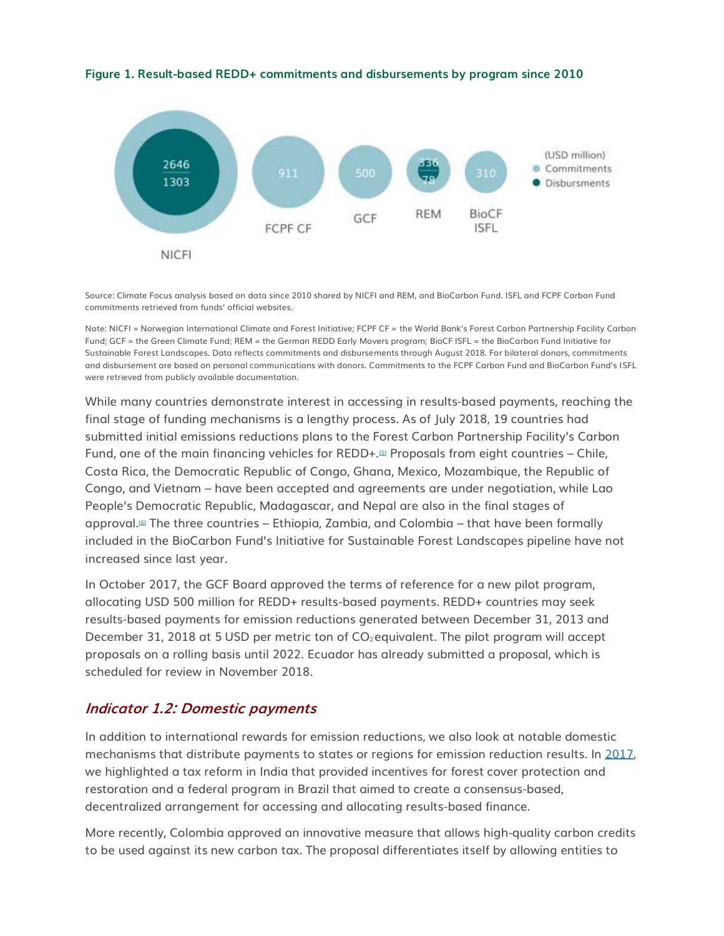**Figure 1. Result-based REDD+ commitments and disbursements by program since 2010**



Source: Climate Focus analysis based on data since 2010 shared by NICFI and REM, and BioCarbon Fund. ISFL and FCPF Carbon Fund commitments retrieved from funds' official websites.

Note: NICFI = Norwegian International Climate and Forest Initiative; FCPF CF = the World Bank's Forest Carbon Partnership Facility Carbon Fund; GCF = the Green Climate Fund; REM = the German REDD Early Movers program; BioCF ISFL = the BioCarbon Fund Initiative for Sustainable Forest Landscapes. Data reflects commitments and disbursements through August 2018. For bilateral donors, commitments and disbursement are based on personal communications with donors. Commitments to the FCPF Carbon Fund and BioCarbon Fund's ISFL were retrieved from publicly available documentation.

While many countries demonstrate interest in accessing in results-based payments, reaching the final stage of funding mechanisms is a lengthy process. As of July 2018, 19 countries had submitted initial emissions reductions plans to the Forest Carbon Partnership Facility's Carbon Fund, one of the main financing vehicles for REDD+.[\[5\]](http://forestdeclaration.org/goal/goal-9/#_edn5) Proposals from eight countries – Chile, Costa Rica, the Democratic Republic of Congo, Ghana, Mexico, Mozambique, the Republic of Congo, and Vietnam – have been accepted and agreements are under negotiation, while Lao People's Democratic Republic, Madagascar, and Nepal are also in the final stages of approval.[\[6\]](http://forestdeclaration.org/goal/goal-9/#_edn6) The three countries – Ethiopia, Zambia, and Colombia – that have been formally included in the BioCarbon Fund's Initiative for Sustainable Forest Landscapes pipeline have not increased since last year.

In October 2017, the GCF Board approved the terms of reference for a new pilot program, allocating USD 500 million for REDD+ results-based payments. REDD+ countries may seek results-based payments for emission reductions generated between December 31, 2013 and December 31, 2018 at 5 USD per metric ton of  $CO<sub>2</sub>$  equivalent. The pilot program will accept proposals on a rolling basis until 2022. Ecuador has already submitted a proposal, which is scheduled for review in November 2018.

## **Indicator 1.2: Domestic payments**

In addition to international rewards for emission reductions, we also look at notable domestic mechanisms that distribute payments to states or regions for emission reduction results. In [2017,](http://forestdeclaration.org/wp-content/uploads/2017/10/2017-NYDF-Goals-8-and-9-Assessment-Report.pdf) we highlighted a tax reform in India that provided incentives for forest cover protection and restoration and a federal program in Brazil that aimed to create a consensus-based, decentralized arrangement for accessing and allocating results-based finance.

More recently, Colombia approved an innovative measure that allows high-quality carbon credits to be used against its new carbon tax. The proposal differentiates itself by allowing entities to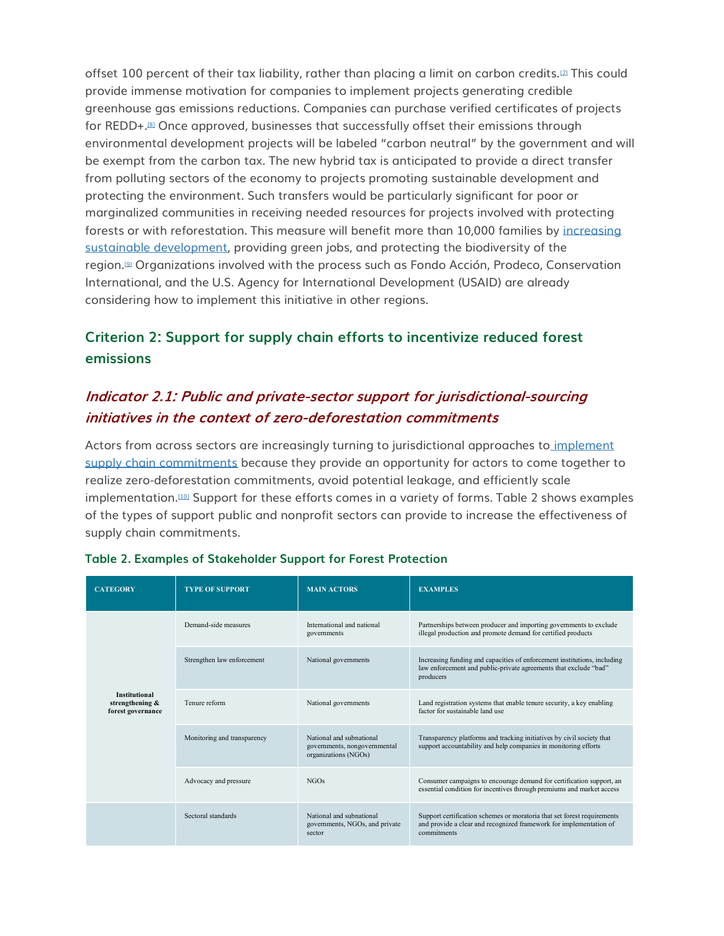offset 100 percent of their tax liability, rather than placing a limit on carbon credits.<sup>[\[7\]](http://forestdeclaration.org/goal/goal-9/#_edn7)</sup> This could provide immense motivation for companies to implement projects generating credible greenhouse gas emissions reductions. Companies can purchase verified certificates of projects for REDD+.[\[8\]](http://forestdeclaration.org/goal/goal-9/#_edn8) Once approved, businesses that successfully offset their emissions through environmental development projects will be labeled "carbon neutral" by the government and will be exempt from the carbon tax. The new hybrid tax is anticipated to provide a direct transfer from polluting sectors of the economy to projects promoting sustainable development and protecting the environment. Such transfers would be particularly significant for poor or marginalized communities in receiving needed resources for projects involved with protecting forests or with reforestation. This measure will benefit more than 10,000 families by [increasing](http://forestdeclaration.org/goal/goal-4/)  [sustainable development,](http://forestdeclaration.org/goal/goal-4/) providing green jobs, and protecting the biodiversity of the region.[\[9\]](http://forestdeclaration.org/goal/goal-9/#_edn9) Organizations involved with the process such as Fondo Acción, Prodeco, Conservation International, and the U.S. Agency for International Development (USAID) are already considering how to implement this initiative in other regions.

# **Criterion 2: Support for supply chain efforts to incentivize reduced forest emissions**

# **Indicator 2.1: Public and private-sector support for jurisdictional-sourcing initiatives in the context of zero-deforestation commitments**

Actors from across sectors are increasingly turning to jurisdictional approaches to [implement](http://forestdeclaration.org/goal/goal-2/)  [supply chain commitments](http://forestdeclaration.org/goal/goal-2/) because they provide an opportunity for actors to come together to realize zero-deforestation commitments, avoid potential leakage, and efficiently scale implementation.<sup>[\[10\]](http://forestdeclaration.org/goal/goal-9/#_edn10)</sup> Support for these efforts comes in a variety of forms. Table 2 shows examples of the types of support public and nonprofit sectors can provide to increase the effectiveness of supply chain commitments.

| <b>CATEGORY</b>                                              | <b>TYPE OF SUPPORT</b>      | <b>MAIN ACTORS</b>                                                               | <b>EXAMPLES</b>                                                                                                                                              |
|--------------------------------------------------------------|-----------------------------|----------------------------------------------------------------------------------|--------------------------------------------------------------------------------------------------------------------------------------------------------------|
| <b>Institutional</b><br>strengthening &<br>forest governance | Demand-side measures        | International and national<br>governments                                        | Partnerships between producer and importing governments to exclude<br>illegal production and promote demand for certified products                           |
|                                                              | Strengthen law enforcement  | National governments                                                             | Increasing funding and capacities of enforcement institutions, including<br>law enforcement and public-private agreements that exclude "bad"<br>producers    |
|                                                              | Tenure reform               | National governments                                                             | Land registration systems that enable tenure security, a key enabling<br>factor for sustainable land use                                                     |
|                                                              | Monitoring and transparency | National and subnational<br>governments, nongovernmental<br>organizations (NGOs) | Transparency platforms and tracking initiatives by civil society that<br>support accountability and help companies in monitoring efforts                     |
|                                                              | Advocacy and pressure       | NGOs                                                                             | Consumer campaigns to encourage demand for certification support, an<br>essential condition for incentives through premiums and market access                |
|                                                              | Sectoral standards          | National and subnational<br>governments, NGOs, and private<br>sector             | Support certification schemes or moratoria that set forest requirements<br>and provide a clear and recognized framework for implementation of<br>commitments |

## **Table 2. Examples of Stakeholder Support for Forest Protection**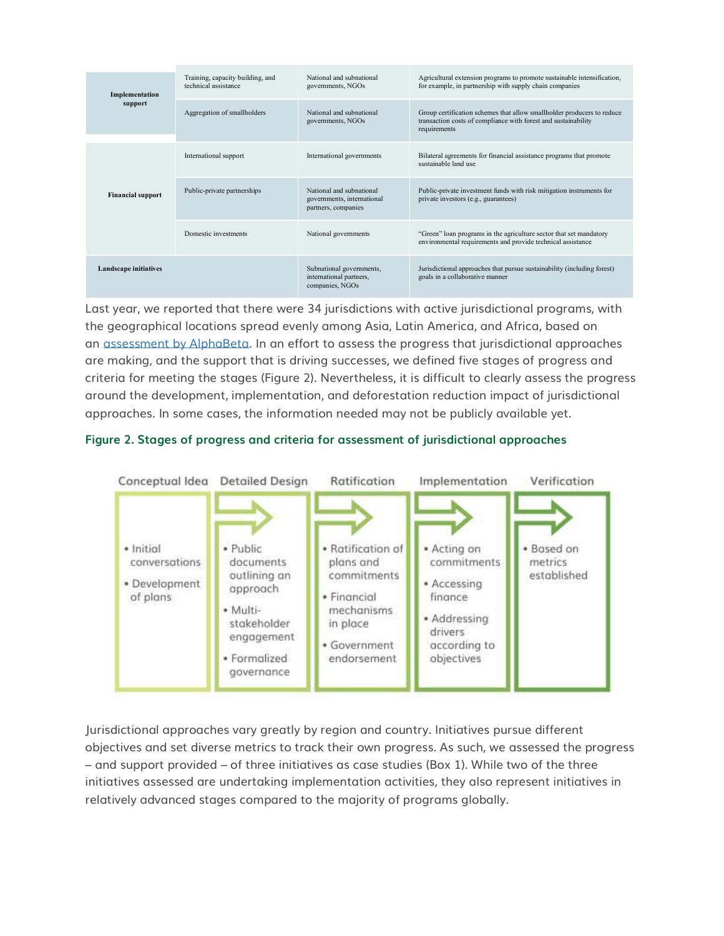| Implementation<br>support | Training, capacity building, and<br>technical assistance | National and subnational<br>governments, NGOs                                 | Agricultural extension programs to promote sustainable intensification,<br>for example, in partnership with supply chain companies                       |
|---------------------------|----------------------------------------------------------|-------------------------------------------------------------------------------|----------------------------------------------------------------------------------------------------------------------------------------------------------|
|                           | Aggregation of smallholders                              | National and subnational<br>governments, NGOs                                 | Group certification schemes that allow smallholder producers to reduce<br>transaction costs of compliance with forest and sustainability<br>requirements |
| <b>Financial support</b>  | International support                                    | International governments                                                     | Bilateral agreements for financial assistance programs that promote<br>sustainable land use                                                              |
|                           | Public-private partnerships                              | National and subnational<br>governments, international<br>partners, companies | Public-private investment funds with risk mitigation instruments for<br>private investors (e.g., guarantees)                                             |
|                           | Domestic investments                                     | National governments                                                          | "Green" loan programs in the agriculture sector that set mandatory<br>environmental requirements and provide technical assistance                        |
| Landscape initiatives     |                                                          | Subnational governments,<br>international partners,<br>companies, NGOs        | Jurisdictional approaches that pursue sustainability (including forest)<br>goals in a collaborative manner                                               |

Last year, we reported that there were 34 jurisdictions with active jurisdictional programs, with the geographical locations spread evenly among Asia, Latin America, and Africa, based on an [assessment by AlphaBeta.](https://www.tfa2020.org/wp-content/uploads/2017/04/TFA2020-Supporting-jurisdictional-leadership-in-net-zero-deforestation-Report.pdf) In an effort to assess the progress that jurisdictional approaches are making, and the support that is driving successes, we defined five stages of progress and criteria for meeting the stages (Figure 2). Nevertheless, it is difficult to clearly assess the progress around the development, implementation, and deforestation reduction impact of jurisdictional approaches. In some cases, the information needed may not be publicly available yet.

## **Figure 2. Stages of progress and criteria for assessment of jurisdictional approaches**



Jurisdictional approaches vary greatly by region and country. Initiatives pursue different objectives and set diverse metrics to track their own progress. As such, we assessed the progress – and support provided – of three initiatives as case studies (Box 1). While two of the three initiatives assessed are undertaking implementation activities, they also represent initiatives in relatively advanced stages compared to the majority of programs globally.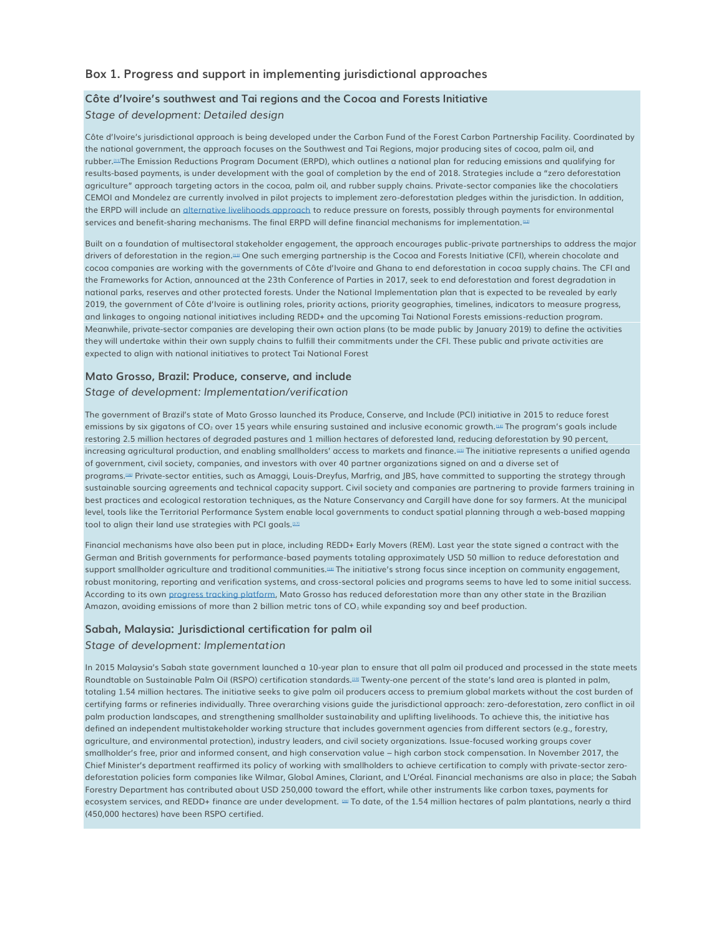### **Box 1. Progress and support in implementing jurisdictional approaches**

### **Côte d'Ivoire's southwest and Tai regions and the Cocoa and Forests Initiative**

#### *Stage of development: Detailed design*

Côte d'Ivoire's jurisdictional approach is being developed under the Carbon Fund of the Forest Carbon Partnership Facility. Coordinated by the national government, the approach focuses on the Southwest and Tai Regions, major producing sites of cocoa, palm oil, and rubber.<sup>[\[11\]](http://forestdeclaration.org/goal/goal-9/#_edn11)</sup>The Emission Reductions Program Document (ERPD), which outlines a national plan for reducing emissions and qualifying for results-based payments, is under development with the goal of completion by the end of 2018. Strategies include a "zero deforestation agriculture" approach targeting actors in the cocoa, palm oil, and rubber supply chains. Private-sector companies like the chocolatiers CEMOI and Mondelez are currently involved in pilot projects to implement zero-deforestation pledges within the jurisdiction. In addition, the ERPD will include an [alternative livelihoods approach](http://forestdeclaration.org/goal/goal-4/) to reduce pressure on forests, possibly through payments for environmental services and benefit-sharing mechanisms. The final ERPD will define financial mechanisms for implementation.<sup>122</sup>

Built on a foundation of multisectoral stakeholder engagement, the approach encourages public-private partnerships to address the major drivers of deforestation in the region.[\[13\]](http://forestdeclaration.org/goal/goal-9/#_edn13) One such emerging partnership is the Cocoa and Forests Initiative (CFI), wherein chocolate and cocoa companies are working with the governments of Côte d'Ivoire and Ghana to end deforestation in cocoa supply chains. The CFI and the Frameworks for Action, announced at the 23th Conference of Parties in 2017, seek to end deforestation and forest degradation in national parks, reserves and other protected forests. Under the National Implementation plan that is expected to be revealed by early 2019, the government of Côte d'Ivoire is outlining roles, priority actions, priority geographies, timelines, indicators to measure progress, and linkages to ongoing national initiatives including REDD+ and the upcoming Tai National Forests emissions-reduction program. Meanwhile, private-sector companies are developing their own action plans (to be made public by January 2019) to define the activities they will undertake within their own supply chains to fulfill their commitments under the CFI. These public and private activities are expected to align with national initiatives to protect Tai National Forest

#### **Mato Grosso, Brazil: Produce, conserve, and include**

#### *Stage of development: Implementation/verification*

The government of Brazil's state of Mato Grosso launched its Produce, Conserve, and Include (PCI) initiative in 2015 to reduce forest emissions by six gigatons of CO2 over 15 years while ensuring sustained and inclusive economic growth.<sup>[\[14\]](http://forestdeclaration.org/goal/goal-9/#_edn14)</sup> The program's goals include restoring 2.5 million hectares of degraded pastures and 1 million hectares of deforested land, reducing deforestation by 90 percent, increasing agricultural production, and enabling smallholders' access to markets and finance.<sup>155</sup> The initiative represents a unified agenda of government, civil society, companies, and investors with over 40 partner organizations signed on and a diverse set of programs.[\[16\]](http://forestdeclaration.org/goal/goal-9/#_edn16) Private-sector entities, such as Amaggi, Louis-Dreyfus, Marfrig, and JBS, have committed to supporting the strategy through sustainable sourcing agreements and technical capacity support. Civil society and companies are partnering to provide farmers training in best practices and ecological restoration techniques, as the Nature Conservancy and Cargill have done for soy farmers. At the municipal level, tools like the Territorial Performance System enable local governments to conduct spatial planning through a web-based mapping tool to align their land use strategies with PCI goals.<sup>[\[17\]](http://forestdeclaration.org/goal/goal-9/#_edn17)</sup>

Financial mechanisms have also been put in place, including REDD+ Early Movers (REM). Last year the state signed a contract with the German and British governments for performance-based payments totaling approximately USD 50 million to reduce deforestation and support smallholder agriculture and traditional communities.<sup>[\[18\]](http://forestdeclaration.org/goal/goal-9/#_edn18)</sup> The initiative's strong focus since inception on community engagement, robust monitoring, reporting and verification systems, and cross-sectoral policies and programs seems to have led to some initial success. According to its own [progress tracking platform,](http://www.pcimonitor.org/) Mato Grosso has reduced deforestation more than any other state in the Brazilian Amazon, avoiding emissions of more than 2 billion metric tons of  $CO<sub>2</sub>$  while expanding soy and beef production.

### **Sabah, Malaysia: Jurisdictional certification for palm oil**

#### *Stage of development: Implementation*

In 2015 Malaysia's Sabah state government launched a 10-year plan to ensure that all palm oil produced and processed in the state meets Roundtable on Sustainable Palm Oil (RSPO) certification standards.<sup>[\[19\]](http://forestdeclaration.org/goal/goal-9/#_edn19)</sup> Twenty-one percent of the state's land area is planted in palm, totaling 1.54 million hectares. The initiative seeks to give palm oil producers access to premium global markets without the cost burden of certifying farms or refineries individually. Three overarching visions guide the jurisdictional approach: zero-deforestation, zero conflict in oil palm production landscapes, and strengthening smallholder sustainability and uplifting livelihoods. To achieve this, the initiative has defined an independent multistakeholder working structure that includes government agencies from different sectors (e.g., forestry, agriculture, and environmental protection), industry leaders, and civil society organizations. Issue-focused working groups cover smallholder's free, prior and informed consent, and high conservation value – high carbon stock compensation. In November 2017, the Chief Minister's department reaffirmed its policy of working with smallholders to achieve certification to comply with private-sector zerodeforestation policies form companies like Wilmar, Global Amines, Clariant, and L'Oréal. Financial mechanisms are also in place; the Sabah Forestry Department has contributed about USD 250,000 toward the effort, while other instruments like carbon taxes, payments for ecosystem services, and REDD+ finance are under development.  $22$  To date, of the 1.54 million hectares of palm plantations, nearly a third (450,000 hectares) have been RSPO certified.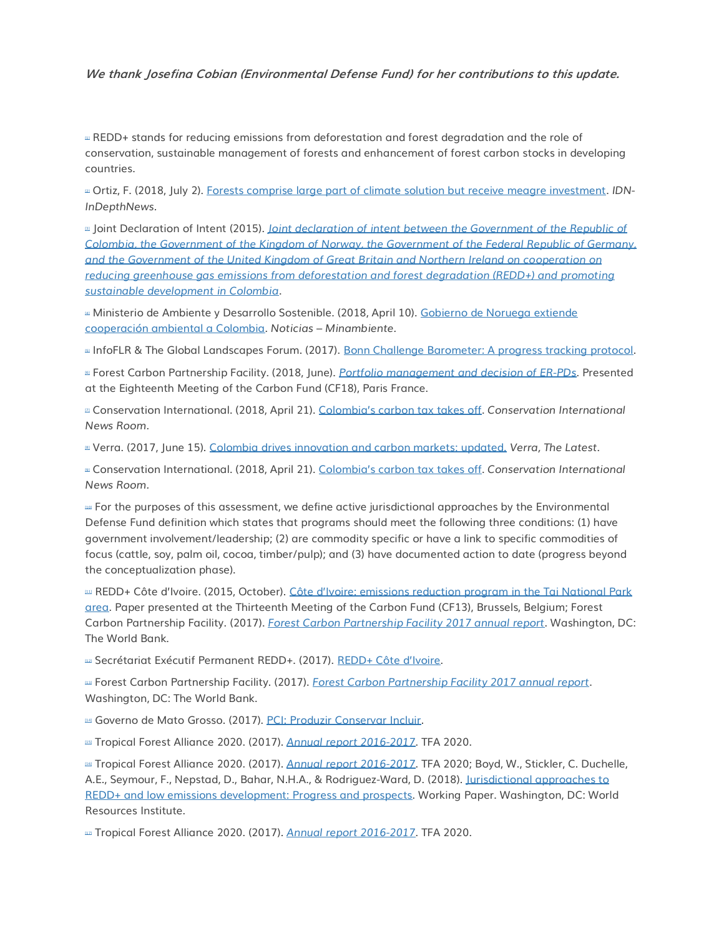**We thank Josefina Cobian (Environmental Defense Fund) for her contributions to this update.**

**III REDD+** stands for reducing emissions from deforestation and forest degradation and the role of conservation, sustainable management of forests and enhancement of forest carbon stocks in developing countries.

[\[2\]](http://forestdeclaration.org/goal/goal-9/#_ednref2) Ortiz, F. (2018, July 2). [Forests comprise large part of climate solution but receive meagre investment.](https://www.indepthnews.net/index.php/global-governance/un-insider/1967-forests-comprise-large-part-of-climate-solution-but-receive-meagre-investment) *IDN-InDepthNews.*

[\[3\]](http://forestdeclaration.org/goal/goal-9/#_ednref3) Joint Declaration of Intent (2015). *[Joint declaration of intent between the Government of the Republic of](https://www.regjeringen.no/globalassets/departementene/kld/kos/joint_declaration_of_intent_colombia_norway_germany_uk_redd_in_colobia-002.pdf)  [Colombia, the Government of the Kingdom of Norway, the Government of the Federal Republic of Germany,](https://www.regjeringen.no/globalassets/departementene/kld/kos/joint_declaration_of_intent_colombia_norway_germany_uk_redd_in_colobia-002.pdf)  [and the Government of the United Kingdom of Great Britain and Northern Ireland on cooperation on](https://www.regjeringen.no/globalassets/departementene/kld/kos/joint_declaration_of_intent_colombia_norway_germany_uk_redd_in_colobia-002.pdf)  [reducing greenhouse gas emissions from deforestation and forest degradation \(REDD+\) and promoting](https://www.regjeringen.no/globalassets/departementene/kld/kos/joint_declaration_of_intent_colombia_norway_germany_uk_redd_in_colobia-002.pdf)  [sustainable development in Colombia](https://www.regjeringen.no/globalassets/departementene/kld/kos/joint_declaration_of_intent_colombia_norway_germany_uk_redd_in_colobia-002.pdf)*.

[\[4\]](http://forestdeclaration.org/goal/goal-9/#_ednref4) Ministerio de Ambiente y Desarrollo Sostenible. (2018, April 10). [Gobierno de Noruega extiende](http://pidamazonia.com/content/gobierno-de-noruega-extiende-cooperacion-ambiental-colombia)  [cooperación ambiental a Colombia.](http://pidamazonia.com/content/gobierno-de-noruega-extiende-cooperacion-ambiental-colombia) *Noticias – Minambiente.*

# InfoFLR & The Global Landscapes Forum. (2017). [Bonn Challenge Barometer: A progress tracking protocol.](https://www.forestcarbonpartnership.org/er-pins-fcpf-pipeline)

[\[6\]](http://forestdeclaration.org/goal/goal-9/#_ednref6) Forest Carbon Partnership Facility. (2018, June). *[Portfolio management and](https://www.forestcarbonpartnership.org/sites/fcp/files/2018/June/CF18%203a%20Portfolio%20management_6_20_2018_1.pdf) decision of ER-PDs.* Presented at the Eighteenth Meeting of the Carbon Fund (CF18), Paris France.

[\[7\]](http://forestdeclaration.org/goal/goal-9/#_ednref7) Conservation International. (2018, April 21). [Colombia's carbon tax takes off](https://www.conservation.org/NewsRoom/pressreleases/Pages/Colombia%E2%80%99s-Carbon-Tax-Takes-Off-.aspx). *Conservation International News Room.*

[\[8\]](http://forestdeclaration.org/goal/goal-9/#_ednref8) Verra. (2017, June 15). [Colombia drives innovation and carbon markets: updated.](http://verra.org/colombia-drives-innovation-and-carbon-markets/) *Verra, The Latest*.

[\[9\]](http://forestdeclaration.org/goal/goal-9/#_ednref9) Conservation International. (2018, April 21). Colombia's carb[on tax takes off.](https://www.conservation.org/NewsRoom/pressreleases/Pages/Colombia%E2%80%99s-Carbon-Tax-Takes-Off-.aspx) *Conservation International News Room.*

[\[10\]](http://forestdeclaration.org/goal/goal-9/#_ednref10) For the purposes of this assessment, we define active jurisdictional approaches by the Environmental Defense Fund definition which states that programs should meet the following three conditions: (1) have government involvement/leadership; (2) are commodity specific or have a link to specific commodities of focus (cattle, soy, palm oil, cocoa, timber/pulp); and (3) have documented action to date (progress beyond the conceptualization phase).

EDD+ Côte d'Ivoire. (2015, October). Côte d'Ivoire: emissions reduction program in the Tai National Park [area.](https://www.forestcarbonpartnership.org/sites/fcp/files/2015/October/Cote%20d%27Ivoire%20ER-PIN%20Presentation.pdf) Paper presented at the Thirteenth Meeting of the Carbon Fund (CF13), Brussels, Belgium; Forest Carbon Partnership Facility. (2017). *[Forest Carbon Partnership Facility 2017 annual report](https://www.forestcarbonpartnership.org/sites/fcp/files/2017/Sep/FCPF_Annual2017_web.pdf)*. Washington, DC: The World Bank.

**az Secrétariat Exécutif Permanent REDD+.** (2017). [REDD+ Côte d'Ivoire](http://reddplus.ci/).

[\[13\]](http://forestdeclaration.org/goal/goal-9/#_ednref13) Forest Carbon Partnership Facility. (2017). *[Forest Carbon Partnership Facility 2017 annual report](https://www.forestcarbonpartnership.org/sites/fcp/files/2017/Sep/FCPF_Annual2017_web.pdf)*. Washington, DC: The World Bank.

[\[14\]](http://forestdeclaration.org/goal/goal-9/#_ednref14) Governo de Mato Grosso. (2017). [PCI: Produzir Conservar Incluir.](http://pci.mt.gov.br/)

[\[15\]](http://forestdeclaration.org/goal/goal-9/#_ednref15) Tropical Forest Alliance 2020. (2017). *[Annual report 2016-2017](https://www.tfa2020.org/wp-content/uploads/2017/01/TFA_Annual_Report_2017_v8.1_Web-Report-Small.compressed.pdf)*. TFA 2020.

[\[16\]](http://forestdeclaration.org/goal/goal-9/#_ednref16) Tropical Forest Alliance 2020. (2017). *[Annual report 2016-2017](https://www.tfa2020.org/wp-content/uploads/2017/01/TFA_Annual_Report_2017_v8.1_Web-Report-Small.compressed.pdf)*. TFA 2020; Boyd, W., Stickler, C. Duchelle, A.E., Seymour, F., Nepstad, D., Bahar, N.H.A., & Rodriguez-Ward, D. (2018). [Jurisdictional approaches to](https://wriorg.s3.amazonaws.com/s3fs-public/ending-tropical-deforestation-jurisdictional-approaches-redd.pdf)  [REDD+ and low emissions development: Progress and prospects.](https://wriorg.s3.amazonaws.com/s3fs-public/ending-tropical-deforestation-jurisdictional-approaches-redd.pdf) Working Paper. Washington, DC: World Resources Institute.

[\[17\]](http://forestdeclaration.org/goal/goal-9/#_ednref17) Tropical Forest Alliance 2020. (2017). *[Annual report 2016-2017](https://www.tfa2020.org/wp-content/uploads/2017/01/TFA_Annual_Report_2017_v8.1_Web-Report-Small.compressed.pdf)*. TFA 2020.